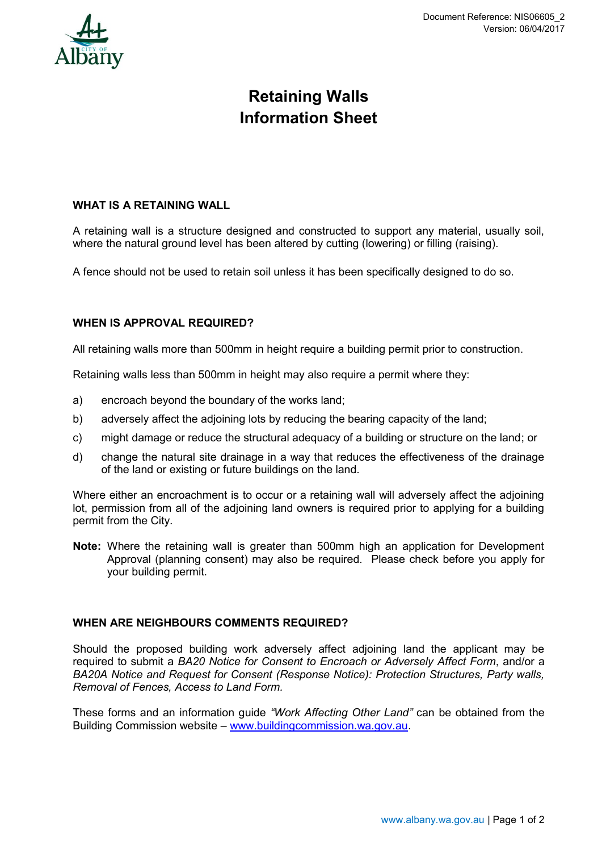

# **Retaining Walls Information Sheet**

### **WHAT IS A RETAINING WALL**

A retaining wall is a structure designed and constructed to support any material, usually soil, where the natural ground level has been altered by cutting (lowering) or filling (raising).

A fence should not be used to retain soil unless it has been specifically designed to do so.

### **WHEN IS APPROVAL REQUIRED?**

All retaining walls more than 500mm in height require a building permit prior to construction.

Retaining walls less than 500mm in height may also require a permit where they:

- a) encroach beyond the boundary of the works land;
- b) adversely affect the adjoining lots by reducing the bearing capacity of the land;
- c) might damage or reduce the structural adequacy of a building or structure on the land; or
- d) change the natural site drainage in a way that reduces the effectiveness of the drainage of the land or existing or future buildings on the land.

Where either an encroachment is to occur or a retaining wall will adversely affect the adjoining lot, permission from all of the adjoining land owners is required prior to applying for a building permit from the City.

**Note:** Where the retaining wall is greater than 500mm high an application for Development Approval (planning consent) may also be required. Please check before you apply for your building permit.

#### **WHEN ARE NEIGHBOURS COMMENTS REQUIRED?**

Should the proposed building work adversely affect adjoining land the applicant may be required to submit a *BA20 Notice for Consent to Encroach or Adversely Affect Form*, and/or a *BA20A Notice and Request for Consent (Response Notice): Protection Structures, Party walls, Removal of Fences, Access to Land Form.*

These forms and an information guide *"Work Affecting Other Land"* can be obtained from the Building Commission website – [www.buildingcommission.wa.gov.au.](http://www.buildingcommission.wa.gov.au/)